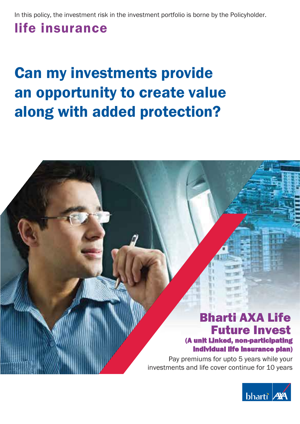In this policy, the investment risk in the investment portfolio is borne by the Policyholder.

# life insurance

# Can my investments provide an opportunity to create value along with added protection?

### Bharti AXA Life Future Invest (A unit Linked, non-participating

#### individual life insurance plan)

Pay premiums for upto 5 years while your investments and life cover continue for 10 years

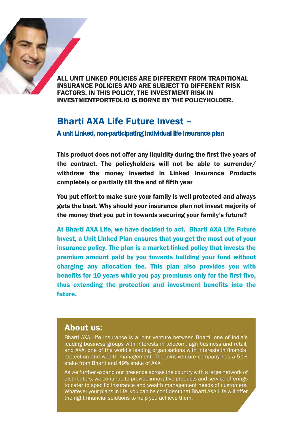

INSURANCE POLICIES AND ARE SUBJECT TO DIFFERENT RISK FACTORS. IN THIS POLICY, THE INVESTMENT RISK IN ALL LINIT LINKED POLICIES ARE DIFFERENT FROM TRADITIONAL INVESTMENTPORTFOLIO IS BORNE BY THE POLICYHOLDER.

#### Bharti AXA Life Future Invest –  $\epsilon$  ruture invest  $-$ Bharti AXA Life Future Invest –

A unit Linked, non-participating individual life insurance plan

This product does not offer any liquidity during the first five years of the contract. The policyholders will not be able to surrender/ withdraw the money invested in Linked Insurance Products completely or partially till the end of fifth year

You put effort to make sure your family is well protected and always gets the best. Why should your insurance plan not invest majority of the money that you put in towards securing your family's future?

At Bharti AXA Life, we have decided to act. Bharti AXA Life Future Invest, a Unit Linked Plan ensures that you get the most out of your insurance policy. The plan is a market-linked policy that invests the premium amount paid by you towards building your fund without charging any allocation fee. This plan also provides you with benefits for 10 years while you pay premiums only for the first five, thus extending the protection and investment benefits into the future.

#### About us:

leading business groups with interests in telecom, agri business and retail, Bharti AXA Life Insurance is a joint venture between Bharti, one of India's leading business groups with interests in telecom, agri business and retail, and AXA, one of the world's leading organisations with interests in financial procedum and median management and joint venture company need only.<br>stake from Bharti and 49% stake of AXA.  $\alpha$  distributions, we continue to provide innovative products and service of  $\alpha$ protection and wealth management. The joint venture company has a 51%

Bharti AXA Life Insurance is a joint venture between Bharti, one of India's

About us:

As we further expand our presence across the country with a large network of  $\;$ distributors, we continue to provide innovative products and service offerings to cater to specific insurance and wealth management needs of customers. Whatever your plans in life, you can be confident that Bharti AXA Life will offer the right financial solutions to help you achieve them.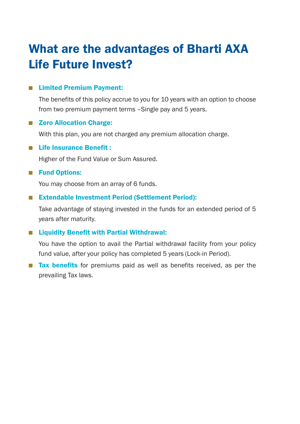# What are the advantages of Bharti AXA Life Future Invest? Future Invest?

#### ■ Limited Premium Payment:

 The benefits of this policy accrue to you for 10 years with an option to choose benefits of this policy accrue to you for 10 years with an option to choose from two premium payment terms –Single pay and 5 years. wo premium payment terms –Single pay and 5 years.

#### ■ Zero Allocation Charge:

With this plan, you are not charged any premium allocation charge.

■ Life Insurance Benefit :

Higher of the Fund Value or Sum Assured. Fund Value or Sum Assured.

#### **Fund Options:**

You may choose from an array of 6 funds.

#### ■ Extendable Investment Period (Settlement Period):

Take advantage of staying invested in the funds for an extended period of 5 years after maturity.

#### ■ Liquidity Benefit with Partial Withdrawal:

You have the option to avail the Partial withdrawal facility from your policy fund value, after your policy has completed 5 years (Lock-in Period).

**Tax benefits** for premiums paid as well as benefits received, as per the prevailing Tax laws.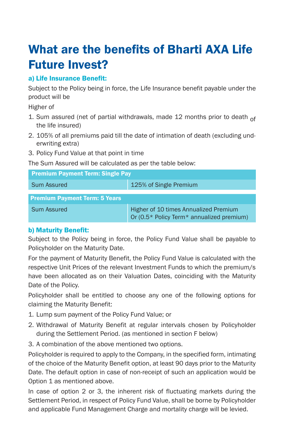### What are the benefits of Bharti AXA Li What are the benefits of Bharti AXA Life Future Invest? Future Invest?

### a) Life Insurance Benefit:

- 1. Sum assured (net of partial withdrawals, made 12 months prior to death of the life insured)
- 2. 105% of all premiums paid till the date of intimation of death (excluding underwriting extra)
- 3. Policy Fund Value at that point in time 3. Policy Fund Value at that point in time

|                                                                                                                                                                             | <b>What are the benefits of Bharti AXA Life</b>                                                                                                                                                                                                                                                                                                 |
|-----------------------------------------------------------------------------------------------------------------------------------------------------------------------------|-------------------------------------------------------------------------------------------------------------------------------------------------------------------------------------------------------------------------------------------------------------------------------------------------------------------------------------------------|
| <b>Future Invest?</b>                                                                                                                                                       |                                                                                                                                                                                                                                                                                                                                                 |
| a) Life Insurance Benefit:                                                                                                                                                  |                                                                                                                                                                                                                                                                                                                                                 |
| product will be<br>Higher of                                                                                                                                                | Subject to the Policy being in force, the Life Insurance benefit payable under the                                                                                                                                                                                                                                                              |
| the life insured)                                                                                                                                                           | 1. Sum assured (net of partial withdrawals, made 12 months prior to death of                                                                                                                                                                                                                                                                    |
| erwriting extra)                                                                                                                                                            | 2. 105% of all premiums paid till the date of intimation of death (excluding und-                                                                                                                                                                                                                                                               |
| 3. Policy Fund Value at that point in time<br>The Sum Assured will be calculated as per the table below:                                                                    |                                                                                                                                                                                                                                                                                                                                                 |
| <b>Premium Payment Term: Single Pay</b>                                                                                                                                     |                                                                                                                                                                                                                                                                                                                                                 |
| <b>Sum Assured</b>                                                                                                                                                          | 125% of Single Premium                                                                                                                                                                                                                                                                                                                          |
| <b>Premium Payment Term: 5 Years</b>                                                                                                                                        |                                                                                                                                                                                                                                                                                                                                                 |
| <b>Sum Assured</b>                                                                                                                                                          | Higher of 10 times Annualized Premium<br>Or (0.5* Policy Term* annualized premium)                                                                                                                                                                                                                                                              |
| <b>b) Maturity Benefit:</b><br>Policyholder on the Maturity Date.<br>Date of the Policy.                                                                                    | Subject to the Policy being in force, the Policy Fund Value shall be payable to<br>For the payment of Maturity Benefit, the Policy Fund Value is calculated with the<br>respective Unit Prices of the relevant Investment Funds to which the premium/s<br>have been allocated as on their Valuation Dates, coinciding with the Maturity         |
| claiming the Maturity Benefit:                                                                                                                                              | Policyholder shall be entitled to choose any one of the following options for                                                                                                                                                                                                                                                                   |
| 1. Lump sum payment of the Policy Fund Value; or<br>during the Settlement Period. (as mentioned in section F below)<br>3. A combination of the above mentioned two options. | 2. Withdrawal of Maturity Benefit at regular intervals chosen by Policyholder                                                                                                                                                                                                                                                                   |
| Option 1 as mentioned above.                                                                                                                                                | Policyholder is required to apply to the Company, in the specified form, intimating<br>of the choice of the Maturity Benefit option, at least 90 days prior to the Maturity<br>Date. The default option in case of non-receipt of such an application would be<br>In case of option 2 or 3, the inherent risk of fluctuating markets during the |
|                                                                                                                                                                             | Settlement Period, in respect of Policy Fund Value, shall be borne by Policyholder                                                                                                                                                                                                                                                              |

#### b) Maturity Benefit:

- 1. Lump sum payment of the Policy Fund Value; or 1. Lump sum payment of the Policy Fund Value; or
- 2. Withdrawal of Maturity Benefit at regular intervals chosen by Policyholder 2. Withdrawal of Maturity Benefit at regular intervals chosen by Policyholder during the Settlement Period. (as mentioned in section F below) during the Settlement Period. (as mentioned in section F below)
- 3. A combination of the above mentioned two options. 3. A combination of the above mentioned two options.

In case of option 2 or 3, the inherent risk of fluctuating markets during In case of option 2 or 3, the inherent risk of fluctuating markets during the Settlement Period, in respect of Policy Fund Value, shall be borne by Policyholder Settlement Period, in respect of Policy Fund Value, shall be borne by Policyholder and applicable Fund Management Charge and mortality charge will be levied.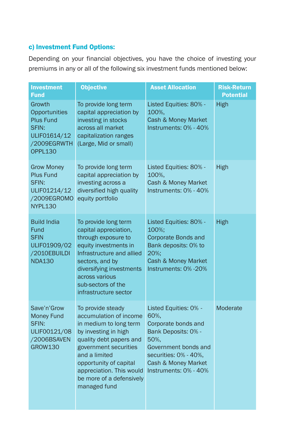#### c) Investment Fund Options:

Depending on your financial objectives, you have the choice of investing your premiums in any or all of the following six investment funds mentioned below: n any or all of the following six investment funds mentioned below:

| <b>Investment</b><br><b>Fund</b>                                                                      | <b>Objective</b>                                                                                                                                                                                                                                                     | <b>Asset Allocation</b>                                                                                                                                                              | <b>Risk-Return</b><br><b>Potential</b> |
|-------------------------------------------------------------------------------------------------------|----------------------------------------------------------------------------------------------------------------------------------------------------------------------------------------------------------------------------------------------------------------------|--------------------------------------------------------------------------------------------------------------------------------------------------------------------------------------|----------------------------------------|
| Growth<br>Opportunities<br><b>Plus Fund</b><br>SFIN:<br>ULIF01614/12<br>/2009EGRWTH<br><b>OPPL130</b> | To provide long term<br>capital appreciation by<br>investing in stocks<br>across all market<br>capitalization ranges<br>(Large, Mid or small)                                                                                                                        | Listed Equities: 80% -<br>100%.<br>Cash & Money Market<br>Instruments: 0% - 40%                                                                                                      | High                                   |
| <b>Grow Money</b><br><b>Plus Fund</b><br>SFIN:<br>ULIF01214/12<br>/2009EGROMO<br><b>NYPL130</b>       | To provide long term<br>capital appreciation by<br>investing across a<br>diversified high quality<br>equity portfolio                                                                                                                                                | Listed Equities: 80% -<br>100%.<br>Cash & Money Market<br>Instruments: 0% - 40%                                                                                                      | High                                   |
| <b>Build India</b><br>Fund<br><b>SFIN</b><br>ULIF01909/02<br>/2010EBUILDI<br><b>NDA130</b>            | To provide long term<br>capital appreciation,<br>through exposure to<br>equity investments in<br>Infrastructure and allied<br>sectors, and by<br>diversifying investments<br>across various<br>sub-sectors of the<br>infrastructure sector                           | Listed Equities: 80% -<br>100%;<br>Corporate Bonds and<br>Bank deposits: 0% to<br>20%:<br>Cash & Money Market<br>Instruments: 0% -20%                                                | High                                   |
| Save'n'Grow<br><b>Money Fund</b><br>SFIN:<br>ULIF00121/08<br>/2006BSAVEN<br><b>GROW130</b>            | To provide steady<br>accumulation of income<br>in medium to long term<br>by investing in high<br>quality debt papers and<br>government securities<br>and a limited<br>opportunity of capital<br>appreciation. This would<br>be more of a defensively<br>managed fund | Listed Equities: 0% -<br>60%.<br>Corporate bonds and<br>Bank Deposits: 0% -<br>50%.<br>Government bonds and<br>securities: 0% - 40%,<br>Cash & Money Market<br>Instruments: 0% - 40% | Moderate                               |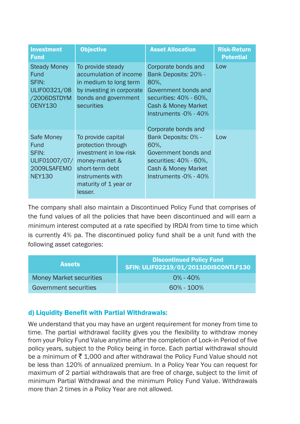| <b>Investment</b><br><b>Fund</b>                                                      | <b>Objective</b>                                                                                                                                                | <b>Asset Allocation</b>                                                                                                                                                      | <b>Risk-Return</b><br><b>Potential</b> |
|---------------------------------------------------------------------------------------|-----------------------------------------------------------------------------------------------------------------------------------------------------------------|------------------------------------------------------------------------------------------------------------------------------------------------------------------------------|----------------------------------------|
| <b>Steady Money</b><br>Fund<br>SFIN:<br>ULIF00321/08<br>/2006DSTDYM<br><b>OENY130</b> | To provide steady<br>accumulation of income<br>in medium to long term<br>by investing in corporate<br>bonds and government<br><b>securities</b>                 | Corporate bonds and<br>Bank Deposits: 20% -<br>80%.<br>Government bonds and<br>securities: 40% - 60%.<br>Cash & Money Market<br>Instruments -0% - 40%<br>Corporate bonds and | Low                                    |
| Safe Money<br><b>Fund</b><br>SFIN:<br>ULIF01007/07/<br>2009LSAFEMO<br><b>NEY130</b>   | To provide capital<br>protection through<br>investment in low-risk<br>money-market &<br>short-term debt<br>instruments with<br>maturity of 1 year or<br>lesser. | Bank Deposits: 0% -<br>60%.<br>Government bonds and<br>securities: 40% - 60%.<br>Cash & Money Market<br>Instruments $-0\% - 40\%$                                            | Low                                    |

The company shall also maintain a Discontinued Policy Fund that co The company shall also maintain a Discontinued Policy Fund that comprises of the fund values of all the policies that have been discontinued and the fund values of all the policies that have been discontinued and will earn a minimum interest computed at a rate specified by IRDAI from time to time which is currently 4% pa. The discontinued policy fund shall be a unit fund is currently 4% pa. The discontinued policy fund shall be a unit fund with the following asset categories:

| <b>Assets</b>                  | <b>Discontinued Policy Fund</b><br>SFIN: ULIF02219/01/2011DDISCONTLF130 |
|--------------------------------|-------------------------------------------------------------------------|
| <b>Money Market securities</b> | $0\% - 40\%$                                                            |
| <b>Government securities</b>   | $60\% - 100\%$                                                          |

### d) Liquidity Benefit with Partial Withdrawals: d) Liquidity Benefit with Partial Withdrawals:

We understand that you may have an urgent requirement for money fr We understand that you may have an urgent requirement for money from time to time. The partial withdrawal facility gives you the flexibility to withdr time. The partial withdrawal facility gives you the flexibility to withdraw money from your Policy Fund Value anytime after the completion of Lock-in Period of five policy years, subject to the Policy being in force. Each partial withdrawal should be a minimum of ₹ 1,000 and after withdrawal the Policy Fund Value should not 120% of annualized premium. In a Policy Year You can request for maximum maximum of 2 partial withdrawals that are free of charge, subject to the limit of mannium of a partial minimum and the thories of charge, subject to the limit of more than 2 times in a Policy Year are not allowed. be less than 120% of annualized premium. In a Policy Year You can request for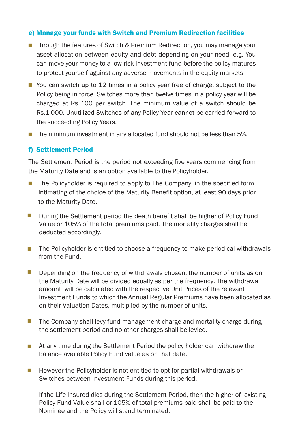#### e) Manage your funds with Switch and Premium Redirection facilities

- Through the features of Switch & Premium Redirection, you may manage your asset allocation between equity and debt depending on your need. e.g. You can move your money to a low-risk investment fund before the policy matures to protect yourself against any adverse movements in the equity markets our money to a low-risk investment fund before the policy matures
	- You can switch up to 12 times in a policy year free of charge, subject to the Policy being in force. Switches more than twelve times in a policy year will be charged at Rs 100 per switch. The minimum value of a switch should be Rs.1,000. Unutilized Switches of any Policy Year cannot be carried forward to the succeeding Policy Years.
- $\blacksquare$  The minimum investment in any allocated fund should not be less than 5%. nutilized Switches of any Policy Year cannot be cannot be carried for  $\mathcal{S}$ the succeeding Policy Years.

#### f) Settlement Period

The Settlement Period is the period not exceeding five years commencing from the Maturity Date and is an option available to the Policyholder.

- **The Policyholder is required to apply to The Company, in the specified form,** intimating of the choice of the Maturity Benefit option, at least 90 days prior to the Maturity Date.  $\frac{1}{2}$  is the maturity to  $\frac{1}{2}$ 
	- **Duation, Benefity Benefity Benefit option, and Anaturity Benefit Shall be higher of Policy Fund**  $\alpha$ olice a frequency to make periodical to  $\alpha$  frequency to make periodical  $\alpha$ Value or 105% of the total premiums paid. The mortality charges shall be deducted accordingly. **Contract** 
		- The Policyholder is entitled to choose a frequency to make periodical withdrawals from the Fund.
			- Depending on the frequency of withdrawals chosen, the number of units as on be calculated with the reduction of the relevant of the relevants of the relevant of the Maturity Date will be divided equally as per the frequency. The withdrawal and maturity but the contract equally dependence between allocated with the respective Unit Prices of the relevant Investment Funds to which the Annual Regular Premiums have been allocated as on their Valuation Dates, multiplied by the number of units.  $\mathcal{L}^{\mathcal{L}}$
	- **Formal and no one other charges** and mortality charge during the settlement period and no other charges shall be levied.
		- The Policy annual the Boutanism is not entitled the policy included to a set all policy in balance available Policy Fund value as on that date. partial withdrawals or Switches between Investment Funds during  $\blacksquare$  At any time during the Settlement Period the policy holder can withdraw the
		- Switches between Investment Funds during this period.  $\blacksquare$  However the Policyholder is not entitled to opt for partial withdrawals or

If the Life Insured dies during the Settlement Period, then the higher of existing Policy Fund Value shall or 105% of total premiums paid shall be paid to the Nominee and the Policy will stand terminated.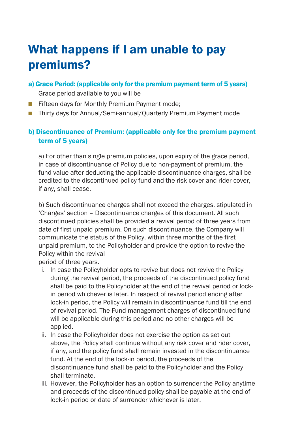## What happens if I am unable to pay What happens if I am unable to pay premiums?

a) Grace Period: (applicable only for the premium payment term of 5 years)

Grace period available to you will be Grace period available to you will be

- Fifteen days for Monthly Premium Payment mode;
- Thirty days for Annual/Semi-annual/Quarterly Premium Payment mode

#### b) Discontinuance of Premium: (applicable only for the premium p b) Discontinuance of Premium: (applicable only for the premium payment term of 5 years)

a) For other than single premium policies, upon expiry of the grace period, in case of discontinuance of Policy due to non-payment of premium, the fund value after deducting the applicable discontinuance charges, shall be credited to the discontinued policy fund and the risk cover and rider cover, if any, shall cease.

b) Such discontinuance charges shall not exceed the charges, stipulated in 'Charges' section – Discontinuance charges of this document. All such discontinued policies shall be provided a revival period of three years from date of first unpaid premium. On such discontinuance, the Company will unpaid premium, to the Policyholder and provide the option to revive the  $\alpha$ ival of the policy with Revival Periodic  $\alpha$ communicate the status of the Policy, within three months of the first Policy within the revival

neriod of three years.

- intention of the company of the intention to revive the interview the revive the Policy with Review of the Policy during the revival period, the proceeds of the discontinued policy fund shall be paid to the Policyholder at the end of the revival period or lockin period whichever is later. In respect of revival period ending after lock-in period, the Policy will remain in discontinuance fund till the end of revival period. The Fund management charges of discontinued fund will be applicable during this period and no other charges will be applied.
- ii. In case the Policyholder does not exercise the option as set out above, the Policy shall continue without any risk cover and rider cover. if any, and the policy fund shall remain invested in the discontinuance fund. At the end of the lock-in period, the proceeds of the discontinuance fund shall be paid to the Policyholder and the Policy shall terminate.
- iii. However, the Policyholder has an option to surrender the Policy anytime and proceeds of the discontinued policy shall be payable at the end of lock-in period or date of surrender whichever is later.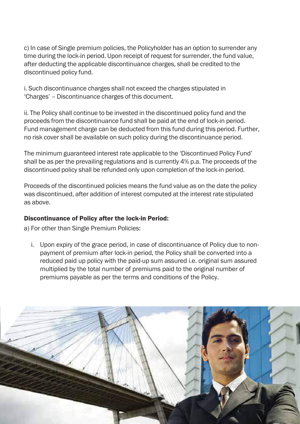c) In case of Single premium policies, the Policyholder has an option to surrender any<br>time during the lock-in period. Upon receint of request for surrender, the fund value after deducting the applicable discontinuance charges, shall be credited to the<br>discontinued policy fund time during the lock-in period. Upon receipt of request for surrender, the fund value, discontinued policy fund.

i. Such discontinuance charges shall not exceed the charges stipulated in 'Charges' - Discontinuance charges of this document.

ii. The Policy shall continue to be invested in the discontinued policy fund and the Fund management charge can be deducted from this fund during this period. Further, no risk cover shall be available on such policy during the discontinuance period.<br>``` proceeds from the discontinuance fund shall be paid at the end of lock-in period.

The minimum guaranteed interest rate applicable to the 'Discontinued Policy Fund' shall be as per the prevailing regulations and is currently 4% p.a. The proceeds of the discontinued policy shall be refunded only upon completion of the lock-in period.

Proceeds of the discontinued policies means the fund value as on the date the policy was discontinued, after addition of interest computed at the interest rate stipulated as above.

#### Discontinuance of Policy after the lock-in Period: with  $\frac{1}{2}$  decreases of  $\frac{1}{2}$  date of  $\frac{1}{2}$  and  $\frac{1}{2}$  and  $\frac{1}{2}$  and  $\frac{1}{2}$  and  $\frac{1}{2}$  and  $\frac{1}{2}$  and  $\frac{1}{2}$  and  $\frac{1}{2}$  and  $\frac{1}{2}$  and  $\frac{1}{2}$  and  $\frac{1}{2}$  and  $\frac{1}{2}$  and  $\frac{1}{2$

 $\frac{1}{2}$ force during the deducted. a) For other than Single Premium Policies:

i. Upon expiry of the grace period, in case of discontinuance of Policy due to nonpayment of premium after lock-in period, the Policy shall be converted into a The company of the intention to the policy with the policy with review to review of the policy with review of the policy with  $\frac{1}{2}$  and  $\frac{1}{2}$  and  $\frac{1}{2}$  and  $\frac{1}{2}$  and  $\frac{1}{2}$  and  $\frac{1}{2}$  and  $\frac{1}{2}$  an premiums payable as per the terms and conditions of the Policy. reduced paid up policy with the paid-up sum assured i.e. original sum assured

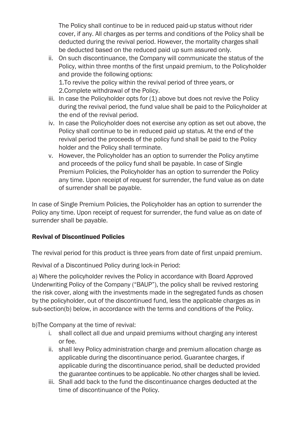The Policy shall continue to be in reduced paid-up status without rider cover, if any. All charges as per terms and conditions of the Policy shall be deducted during the revival period. However, the mortality charges shall be deducted based on the reduced paid up sum assured only.

ii. On such discontinuance, the Company will communicate the status of the Policy, within three months of the first unpaid premium, to the Policyholder and provide the following options:

1.To revive the policy within the revival period of three years, or 2.Complete withdrawal of the Policy.

- iii. In case the Policyholder opts for (1) above but does not revive the Policy during the revival period, the fund value shall be paid to the Policyholder at the end of the revival period.
- iv. In case the Policyholder does not exercise any option as set out above, the Policy shall continue to be in reduced paid up status. At the end of the revival period the proceeds of the policy fund shall be paid to the Policy holder and the Policy shall terminate.
- v. However, the Policyholder has an option to surrender the Policy anytime and proceeds of the policy fund shall be payable. In case of Single Premium Policies, the Policyholder has an option to surrender the Policy any time. Upon receipt of request for surrender, the fund value as on date of surrender shall be payable.

In case of Single Premium Policies, the Policyholder has an option to surrender the Policy any time. Upon receipt of request for surrender, the fund value as on date of surrender shall be payable.

#### Revival of Discontinued Policies

The revival period for this product is three years from date of first unpaid premium.

Revival of a Discontinued Policy during lock-in Period:

a) Where the policyholder revives the Policy in accordance with Board Approved Underwriting Policy of the Company ("BAUP"), the policy shall be revived restoring the risk cover, along with the investments made in the segregated funds as chosen by the policyholder, out of the discontinued fund, less the applicable charges as in sub-section(b) below, in accordance with the terms and conditions of the Policy.

b)The Company at the time of revival:

- i. shall collect all due and unpaid premiums without charging any interest or fee.
- ii. shall levy Policy administration charge and premium allocation charge as applicable during the discontinuance period. Guarantee charges, if applicable during the discontinuance period, shall be deducted provided the guarantee continues to be applicable. No other charges shall be levied.
- iii. Shall add back to the fund the discontinuance charges deducted at the time of discontinuance of the Policy.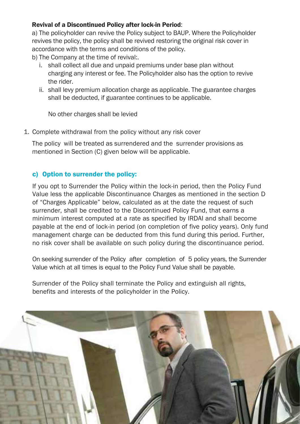#### Revival of a Discontinued Policy after lock-in Period:

accordance with the terms and conditions of the policy. a) The policyholder can revive the Policy subject to BAUP. Where the Policyholder revives the policy, the policy shall be revived restoring the original risk cover in

- b) The Company at the time of revival:
	- The company at the time of revival...<br>i. shall collect all due and unpaid premiums under base plan without charging any interest or fee. The Policyholder also has the option to revive actory evidence of the Insurability of the Life Insurability of the Life Insurability of the Life Insurability of the Life Insurability of the Life Insurability of the Life Insurability of the Life Insurability of the Life the rider
- allocation charge as applicable. The g shall be deducted, if guarantee continues to be applicable. ii. shall levy premium allocation charge as applicable. The guarantee charges

No other charges shall be levied

 $\overline{m}$  are policy without any risk cover the date on which the above requirements are met and approved by 1. Complete withdrawal from the policy without any risk cover

The policy will be treated as surrendered and the surrender provisions as mentioned in Section (C) given below will be applicable.

#### Sure policy. c) Option to surrender the policy:  $\mathcal{L}_{\mathcal{P}}$  is defined to discontinual complex of the policy.

If you opt to Surrender the Policy within the lock-in period, then the Policy Fund of "Charges Applicable" below, calculated as at the date the request of such surrender, shall be credited to the Discontinued Policy Fund, that earns a Value less the applicable Discontinuance Charges as mentioned in the section D infinition interest computed at a rate as specified by INDAI and shall become<br>payable at the end of lock-in period (on completion of five policy years). Only fund management charge can be deducted from this fund during this period. Further, no risk cover shall be available on such policy during the discontinuance period. minimum interest computed at a rate as specified by IRDAI and shall become

On seeking surrender of the Policy after completion of 5 policy years, the Surrender Value which at all times is equal to the Policy Fund Value shall be payable.

Surrender of the Policy shall terminate the Policy and extinguish all rights, benefits and interests of the policyholder in the Policy.

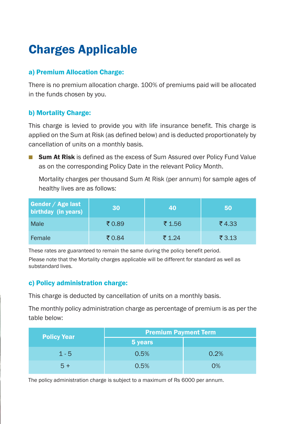# Charges Applicable Charges Applicable

### a) Premium Allocation Charge: a) Premium Allocation Charge:

There is no premium allocation charge. 100% of premiums paid will be allocated premium allocation charge. 100% of premiums paid will be allocated in the funds chosen by you. in the funds chosen by  $\mathbf{i}$ 

#### b) Mortality Charge:

This charge is levied to provide you with life insurance benefit. This charge is levied to provide you with life insurance benefit. This charge is applied on the Sum at Risk (as defined below) and is deducted proportionately by Sum at Risk (as defined below) and is deducted proportionately by cancellation of units on a monthly basis. cancellation of units on a monthly basis.

■ Sum At Risk is defined as the excess of Sum Assured over Policy Fund Value as on the corresponding Policy Date in the relevant Policy Month. as on the corresponding Policy Date in the relevant Policy Month.

 Mortality charges per thousand Sum At Risk (per annum) for sample ages of charges per thousand Sum At Risk (per annum) for sample ages of healthy lives are as follows: es are as follows:

| Gender / Age last<br>birthday (in years) | 30    | 40             | 50             |
|------------------------------------------|-------|----------------|----------------|
| Male                                     | ₹0.89 | ₹ 1.56         | ₹4.33          |
| Female                                   | ₹0.84 | $\bar{z}$ 1.24 | $\bar{z}$ 3.13 |

These rates are guaranteed to remain the same during the policy benefit period. es are guaranteed to remain the same during the policy benefit period.

Please note that the Mortality charges applicable will be different for standard as well as substandard lives.

#### c) Policy administration charge:

This charge is deducted by cancellation of units on a monthly basis. This charge is deducted by cancellation of units on a monthly basis.

The monthly policy administration charge as percentage of premium is as per the policy administration charge as percentage of premium is as per the table below:

| <b>Policy Year</b> | <b>Premium Payment Term</b> |      |
|--------------------|-----------------------------|------|
|                    | 5 years                     |      |
| $1 - 5$            | 0.5%                        | 0.2% |
| $5+$               | 0.5%                        | 0%   |

The policy administration charge is subject to a maximum of Rs 6000 per annum. The policy administration charge is subject to a maximum of Rs 6000 per annum.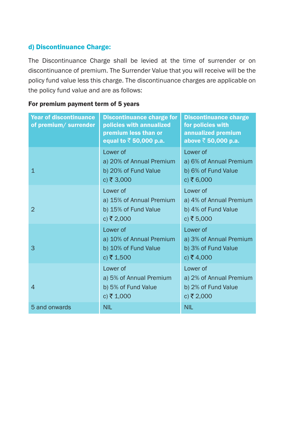### d) Discontinuance Charge:

The Discontinuance Charge shall be levied at the time of surrender The Discontinuance Charge shall be levied at the time of surrender or on discontinuance of premium. The Surrender Value that you will recei discontinuance of premium. The Surrender Value that you will receive will be the policy fund value less this charge. The discontinuance charges are policy fund value less this charge. The discontinuance charges are applicable on the policy fund value and are as follows: the policy fund value and are as follows:

|--|

| <b>Year of discontinuance</b><br>of premium/surrender | <b>Discontinuance charge for</b><br>policies with annualized<br>premium less than or<br>equal to $\bar{z}$ 50,000 p.a. | <b>Discontinuance charge</b><br>for policies with<br>annualized premium<br>above $\bar{z}$ 50,000 p.a. |
|-------------------------------------------------------|------------------------------------------------------------------------------------------------------------------------|--------------------------------------------------------------------------------------------------------|
| $\mathbf{1}$                                          | Lower of<br>a) 20% of Annual Premium<br>b) 20% of Fund Value<br>c) ₹ 3,000                                             | Lower of<br>a) 6% of Annual Premium<br>b) 6% of Fund Value<br>c) ₹ 6,000                               |
| $\mathcal{P}$                                         | Lower of<br>a) 15% of Annual Premium<br>b) 15% of Fund Value<br>c) ₹ 2,000                                             | Lower of<br>a) 4% of Annual Premium<br>b) 4% of Fund Value<br>c) ₹ 5,000                               |
| 3                                                     | Lower of<br>a) 10% of Annual Premium<br>b) 10% of Fund Value<br>c) ₹ 1,500                                             | Lower of<br>a) 3% of Annual Premium<br>b) 3% of Fund Value<br>c) ₹ 4,000                               |
| $\overline{4}$                                        | Lower of<br>a) 5% of Annual Premium<br>b) 5% of Fund Value<br>c) ₹ 1,000                                               | Lower of<br>a) 2% of Annual Premium<br>b) 2% of Fund Value<br>c) ₹ 2,000                               |
| 5 and onwards                                         | <b>NIL</b>                                                                                                             | <b>NIL</b>                                                                                             |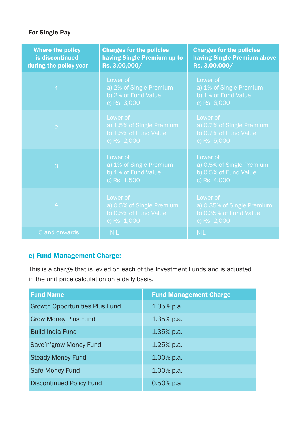### For Single Pay

| <b>Where the policy</b><br>is discontinued<br>during the policy year | <b>Charges for the policies</b><br>having Single Premium up to<br>Rs. 3,00,000/- | <b>Charges for the policies</b><br><b>having Single Premium above</b><br>Rs. 3,00,000/- |
|----------------------------------------------------------------------|----------------------------------------------------------------------------------|-----------------------------------------------------------------------------------------|
| $\overline{1}$                                                       | Lower of<br>a) 2% of Single Premium<br>b) 2% of Fund Value<br>c) Rs. 3,000       | Lower of<br>a) 1% of Single Premium<br>b) 1% of Fund Value<br>c) Rs. 6,000              |
| $\overline{2}$                                                       | Lower of<br>a) 1.5% of Single Premium<br>b) 1.5% of Fund Value<br>c) Rs. 2,000   | Lower of<br>a) 0.7% of Single Premium<br>b) 0.7% of Fund Value<br>c) Rs. 5,000          |
| 3                                                                    | Lower of<br>a) 1% of Single Premium<br>b) 1% of Fund Value<br>c) Rs. 1,500       | Lower of<br>a) 0.5% of Single Premium<br>b) 0.5% of Fund Value<br>c) Rs. 4,000          |
| $\overline{4}$                                                       | Lower of<br>a) 0.5% of Single Premium<br>b) 0.5% of Fund Value<br>c) Rs. 1,000   | Lower of<br>a) 0.35% of Single Premium<br>b) 0.35% of Fund Value<br>c) Rs. 2,000        |
| 5 and onwards                                                        | <b>NIL</b>                                                                       | <b>NIL</b>                                                                              |

#### e) Fund Management Charge: und Management Charge

This is a charge that is levied on each of the Investment Funds and is adjusted This is a charge that is levied on each of the Investment Funds and is adjusted in the unit price calculation on a daily basis. in the unit price calculation on a daily basis.

| <b>Fund Name</b>                      | <b>Fund Management Charge</b> |
|---------------------------------------|-------------------------------|
| <b>Growth Opportunities Plus Fund</b> | $1.35\%$ p.a.                 |
| <b>Grow Money Plus Fund</b>           | $1.35\%$ p.a.                 |
| <b>Build India Fund</b>               | $1.35\%$ p.a.                 |
| Save'n'grow Money Fund                | $1.25\%$ p.a.                 |
| <b>Steady Money Fund</b>              | $1.00\%$ p.a.                 |
| Safe Money Fund                       | $1.00\%$ p.a.                 |
| Discontinued Policy Fund              | $0.50\%$ p.a                  |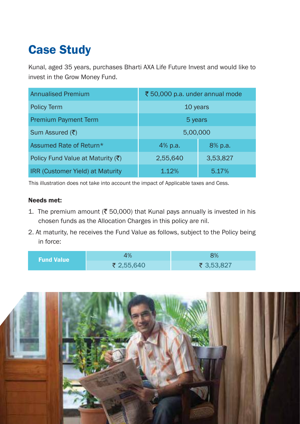# Case Study

Kunal, aged 35 years, purchases Bharti AXA Life Future Invest and would Kunal, aged 35 years, purchases Bharti AXA Life Future Invest and would like to invest in the Grow Money Fund. invest in the Grow Money Fund.

| <b>Annualised Premium</b>                     | ₹50,000 p.a. under annual mode |          |
|-----------------------------------------------|--------------------------------|----------|
| <b>Policy Term</b>                            | 10 years                       |          |
| <b>Premium Payment Term</b>                   | 5 years                        |          |
| Sum Assured (₹)                               | 5,00,000                       |          |
| Assumed Rate of Return*                       | 4% p.a.                        | 8% p.a.  |
| Policy Fund Value at Maturity $(\bar{\zeta})$ | 2,55,640                       | 3,53,827 |
| IRR (Customer Yield) at Maturity              | 1.12%                          | 5.17%    |

This illustration does not take into account the impact of Applicable taxes and Cess. This illustration does not take into account the impact of Applicable taxes and Cess.

#### Needs met:

- 1. The premium amount (₹ 50,000) that Kunal pays annually is invested in his chosen funds as the Allocation Charges in this policy are nil. chosen funds as the Allocation Charges in this policy are nil.
- 2. At maturity, he receives the Fund Value as follows, subject to the Policy 2. At maturity, he receives the Fund Value as follows, subject to the Policy being in force:

| <b>Fund Value</b> | 4%         | 3%         |
|-------------------|------------|------------|
|                   | ₹ 2,55,640 | ₹ 3,53,827 |

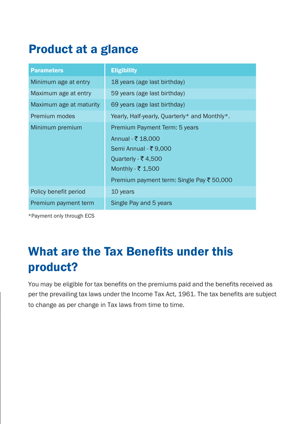# Product at a glance Product at a glance

| <b>Parameters</b>       | <b>Eligibility</b>                            |
|-------------------------|-----------------------------------------------|
| Minimum age at entry    | 18 years (age last birthday)                  |
| Maximum age at entry    | 59 years (age last birthday)                  |
| Maximum age at maturity | 69 years (age last birthday)                  |
| Premium modes           | Yearly, Half-yearly, Quarterly* and Monthly*. |
| Minimum premium         | Premium Payment Term: 5 years                 |
|                         | Annual - ₹ 18,000                             |
|                         | Semi Annual - ₹9,000                          |
|                         | Ouarterly - ₹4,500                            |
|                         | Monthly - ₹ 1,500                             |
|                         | Premium payment term: Single Pay ₹ 50,000     |
| Policy benefit period   | 10 years                                      |
| Premium payment term    | Single Pay and 5 years                        |
|                         |                                               |

\*Payment only through ECS

o time.

# What are the Tax Benefits under this What are the Tax Benefits under this product?

You may be eligible for tax benefits on the premiums paid and the benefits received as  $\vert$  per the prevailing tax laws under the Income Tax Act, 1961. The tax benefits are subject to change as per change in Tax laws from time to time.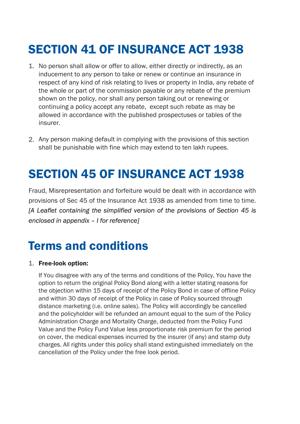# SECTION 41 OF INSURANCE ACT 1938 SECTION 41 OF INSURANCE ACT 1938

- er to allow, either directly or indirectly, as an<br>o take or renew or continue an insurance in<br>elating to lives or property in India, any rebate of<br>mission payable or any rebate of the premium<br>all any person taking out or r inducement to any person to take or renew or continue an insurance in<br>
The contract of the contract of the contract of the contract of the contract of the contract of the contract o the whole or part of the commission payable or any rebate of the premium shown on the policy, nor shall any person taking out or renewing or continuing a policy accept any rebate, except such rebate as may be parametrical prooposities of this cordinate 1. No person shall allow or offer to allow, either directly or indirectly, as an respect of any kind of risk relating to lives or property in India, any rebate of allowed in accordance with the published prospectuses or tables of the insurer
- 2. Any person making default in complying with the provisions of this section shall be punishable with fine which may extend to ten lakh rupees.

## SECTION 45 OF INSURANCE ACT 1938

2. If the Life Insur Fraud, Misrepresentation and forfeiture would be dealt with in accordance with [A Leaflet containing the simplified version of the provisions of Section 45 is  $\mathsf{mce}$  is a punishable with fine which may extend to ten lake  $\mathsf{mce}$  is a punishable with  $\mathsf{mce}$  is a punishable with  $\mathsf{mce}$  is a punishable with  $\mathsf{mce}$  is a punishable with  $\mathsf{mce}$  is a punishable with provisions of Sec 45 of the Insurance Act 1938 as amended from time to time. *enclosed in appendix – I for reference]*

### SECTION 45 OF 1938 OF 1938 OF 1939 OF 1938 Terms and conditions

#### 1. Free-look option:

If You disagree with any of the terms and conditions of the Policy, You have the *phon to recam the singlifier versy Bond dising min a fetter stating reasons for*<br>the objection within 15 days of receipt of the Policy Bond in case of offline Policy and within 30 days of receipt of the Policy in case of Policy sourced through option to return the original Policy Bond along with a letter stating reasons for distance marketing (i.e. online sales). The Policy will accordingly be cancelled and the policyholder will be refunded an amount equal to the sum of the Policy Administration Charge and Mortality Charge, deducted from the Policy Fund Value and the Policy Fund Value less proportionate risk premium for the period on cover, the medical expenses incurred by the insurer (if any) and stamp duty charges. All rights under this policy shall stand extinguished immediately on the cancellation of the Policy under the free look period.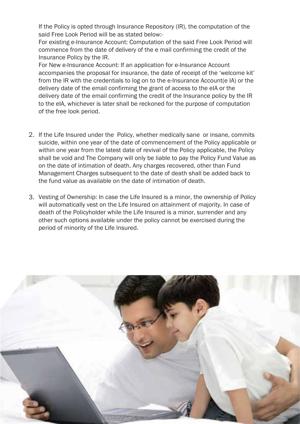If the Policy is opted through Insurance Repository (IR), the computation of the said Free Look Period will be as stated below:-

ermannis<br>
extensions and conditions are the conditions of the conditions of the conditions of the conditions of the con<br>
discussed by the conditions of the conditions of the conditions of the conditions of the conditions o For existing e-Insurance Account: Computation of the said Free Look Period will commence from the date of delivery of the e mail confirming the credit of the Insurance Policy by the IR.

> absompanies are proposal for installation, the date of receipt of the Websitie lift<br>from the IR with the credentials to log on to the e-Insurance Account(e IA) or the delivery date of the email confirming the grant of access to the elA or the delivery date of the email confirming the credit of the Insurance policy by the IR to the eIA, whichever is later shall be reckoned for the purpose of computation<br>of the free leak neried For New e-Insurance Account: If an application for e-Insurance Account accompanies the proposal for insurance, the date of receipt of the 'welcome kit' of the free look period.

- 2. If the Life Insured under the Policy, whether medically sane or insane, commits e and the Policy Fund Value of the Bate of commencement of the Policy applicable, the Policy within one year from the latest date of revival of the Policy applicable, the Policy shall be void and The Company will only be liable to pay the Policy Fund Value as on the date of intimation of death. Any charges recovered, other than Fund wahagement charges subsequent to the tate of treath sharp b suicide, within one year of the date of commencement of the Policy applicable or Management Charges subsequent to the date of death shall be added back to
- 3. Vesting of Ownership: In case the Life Insured is a minor, the ownership of Policy will automatically vest on the Life Insured on attainment of majority. In case of death of the Policyholder while the Life Insured is a minor, surrender and any only such options available three the policy caller ny charges recovered subsequent to the date of death shall other such options available under the policy cannot be exercised during the

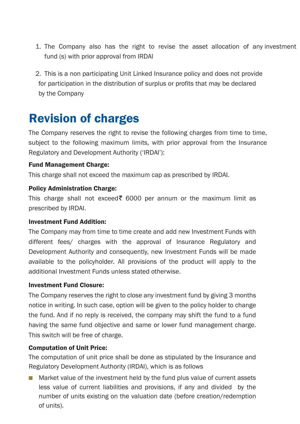- 1. The Company also has the right to revise the asset allocation of any investment investment fund (s) with prior approval from IRDAI fund (s) with prior approval from IRDAI
- 2. This is a non participating Unit Linked Insurance policy and does not provide for participation in the distribution of surplus or profits tha for participation in the distribution of surplus or profits that may be declared by the Company

#### Revision of charges Revision of charges

The Company reserves the right to revise the following charges The Company reserves the right to revise the following charges from time to time, subject to the following maximum limits, with prior approval f subject to the following maximum limits, with prior approval from the Insurance Regulatory and Development Authority ('IRDAI'):

#### Fund Management Charge:

This charge shall not exceed the maximum cap as prescribed This charge shall not exceed the maximum cap as prescribed by IRDA,.

#### Policy Administration Charge:

This charge shall not exceed₹ 6000 per annum or the maximum limit as prescribed by IRDAI.

#### Investment Fund Addition:

The Company may from time to time create and add new Investment The Company may from time to time create and add new Investment Funds with different fees/ charges with the approval of Insurance different fees/ charges with the approval of Insurance Regulatory and Development Authority and consequently, new Investment Funds Development Authority and consequently, new Investment Funds will be made available to the policyholder. All provisions of the product available to the policyholder. All provisions of the product will apply to the additional Investment Funds unless stated otherwise. additional Investment Funds unless stated otherwise.

#### Investment Fund Closure:

The Company reserves the right to close any investment fund The Company reserves the right to close any investment fund by giving 3 months notice in writing. In such case, option will be given to the policy notice in writing. In such case, option will be given to the policy holder to change the fund. And if no reply is received, the company may shift the fund. And if no reply is received, the company may shift the fund to a fund having the same fund objective and same or lower fund management having the same fund objective and same or lower fund management charge. This switch will be free of charge.

#### Computation of Unit Price:

The computation of unit price shall be done as stipulated by The computation of unit price shall be done as stipulated by the Insurance and Regulatory Development Authority (IRDAI), which is as follows

■ Market value of the investment held by the fund plus value of current assets less value of current liabilities and provisions, if any and divided by the number of units existing on the valuation date (before creation/rede number of units existing on the valuation date (before creation/redemption of units).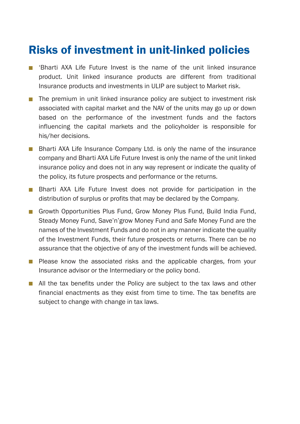## Risks of investment in unit-linked policies

- oes not provide may be declared **n** 'Bharti AXA Life Future Invest is the name of the unit linked insurance product. Unit linked insurance products are different from traditional Insurance products and investments in ULIP are subject to Market risk.
	- om time to time, ■ The premium in unit linked insurance policy are subject to investment risk associated with capital market and the NAV of the units may go up or down based on the performance of the investment funds and the factors influencing the capital markets and the policyholder is responsible for his/her decisions.
- Bharti AXA Life Insurance Company Ltd. is only the name of the insurance company and Bharti AXA Life Future Invest is only the name of the unit linked insurance policy and does not in any way represent or indicate the quality of the policy, its future prospects and performance or the returns.
	- $\overline{a}$ **n** Bharti AXA Life Future Invest does not provide for participation in the distribution of surplus or profits that may be declared by the Company.
- estment Funds with Regulatory and unds will be made the material of the material of the material of the material of the material of the material of the material of the material of the material of the material of the material of the material of the material ■ Growth Opportunities Plus Fund, Grow Money Plus Fund, Build India Fund, Steady Money Fund, Save'n'grow Money Fund and Safe Money Fund are the names of the Investment Funds and do not in any manner indicate the quality of the Investment Funds, their future prospects or returns. There can be no assurance that the objective of any of the investment funds will be achieved. assurance that the objective of any of the investment funds will be achieved.
- **B** Please know the associated risks and the applicable charges, from your Insurance advisor or the Intermediary or the policy bond. Insurance advisor or the Intermediary or the policy bond.
	- giving 3 months holder to change to change the set of the set of the set of the set of the set of the set of the set of the se<br>The set of the set of the set of the set of the set of the set of the set of the set of the set of the set of  $\blacksquare$  All the tax benefits under the Policy are subject to the tax laws and other financial enactments as they exist from time to time. The tax benefits are subject to change with change in tax laws.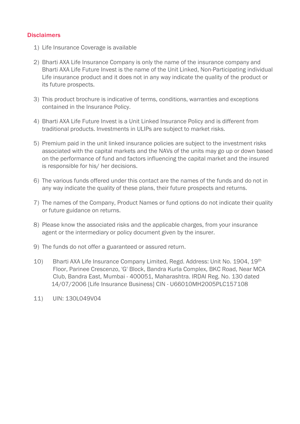#### **Disclaimers**

- 1) Life Insurance Coverage is available
- 2) Bharti AXA Life Insurance Company is only the name of the insurance company and Bharti AXA Life Future Invest is the name of the Unit Linked, Non-Participating individual Life insurance product and it does not in any way indicate the quality of the product or its future prospects.
- 3) This product brochure is indicative of terms, conditions, warranties and exceptions contained in the Insurance Policy.
- 4) Bharti AXA Life Future Invest is a Unit Linked Insurance Policy and is different from traditional products. Investments in ULIPs are subject to market risks.
- 5) Premium paid in the unit linked insurance policies are subject to the investment risks associated with the capital markets and the NAVs of the units may go up or down based on the performance of fund and factors influencing the capital market and the insured is responsible for his/ her decisions.
- 6) The various funds offered under this contact are the names of the funds and do not in any way indicate the quality of these plans, their future prospects and returns.
- 7) The names of the Company, Product Names or fund options do not indicate their quality or future guidance on returns.
- 8) Please know the associated risks and the applicable charges, from your insurance agent or the intermediary or policy document given by the insurer.
- 9) The funds do not offer a guaranteed or assured return.
- 10) Bharti AXA Life Insurance Company Limited, Regd. Address: Unit No. 1904, 19<sup>th</sup> Floor, Parinee Crescenzo, 'G' Block, Bandra Kurla Complex, BKC Road, Near MCA Club, Bandra East, Mumbai - 400051, Maharashtra, IRDAI Reg. No. 130 dated 14/07/2006 [Life Insurance Business] CIN - U66010MH2005PLC157108
- 11) UIN: 130L049V04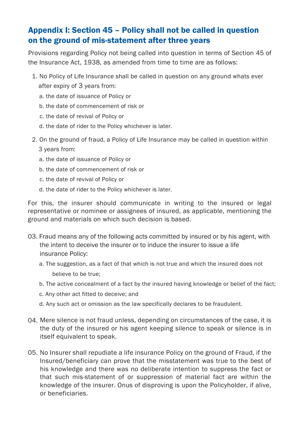### Appendix I: Section 45 – Policy shall not be called in question on the ground of mis-statement after three years

Provisions regarding Policy not being called into question in terms of Section 45 of the Insurance Act, 1938, as amended from time to time are as follows:

- 1. No Policy of Life Insurance shall be called in question on any ground whats ever after expiry of 3 years from:
	- a, the date of issuance of Policy or
	- b, the date of commencement of risk or
	- c, the date of revival of Policy or
	- G the date of rider to the Policy whichever is later.
- 2. On the ground of fraud, a Policy of Life Insurance may be called in question within 3 years from:
	- a. the date of issuance of Policy or
	- E the date of commencement of risk or
	- c, the date of revival of Policy or
	- d, the date of rider to the Policy whichever is later.

For this, the insurer should communicate in writing to the insured or legal representative or nominee or assignees of insured, as applicable, mentioning the ground and materials on which such decision is based.

- 03. Fraud means any of the following acts committed by insured or by his agent, with the intent to deceive the insurer or to induce the insurer to issue a life insurance Policy:
	- a. The suggestion, as a fact of that which is not true and which the insured does not believe to be true;
	- b. The active concealment of a fact by the insured having knowledge or belief of the fact;
	- c. Any other act fitted to deceive; and
	- d. Any such act or omission as the law specifically declares to be fraudulent.
- Mere silence is not fraud unless, depending on circumstances of the case, it is 04. the duty of the insured or his agent keeping silence to speak or silence is in itself equivalent to speak.
- 05. No Insurer shall repudiate a life insurance Policy on the ground of Fraud, if the Insured/beneficiary can prove that the misstatement was true to the best of his knowledge and there was no deliberate intention to suppress the fact or that such mis-statement of or suppression of material fact are within the knowledge of the insurer. Onus of disproving is upon the Policyholder, if alive, or beneficiaries.